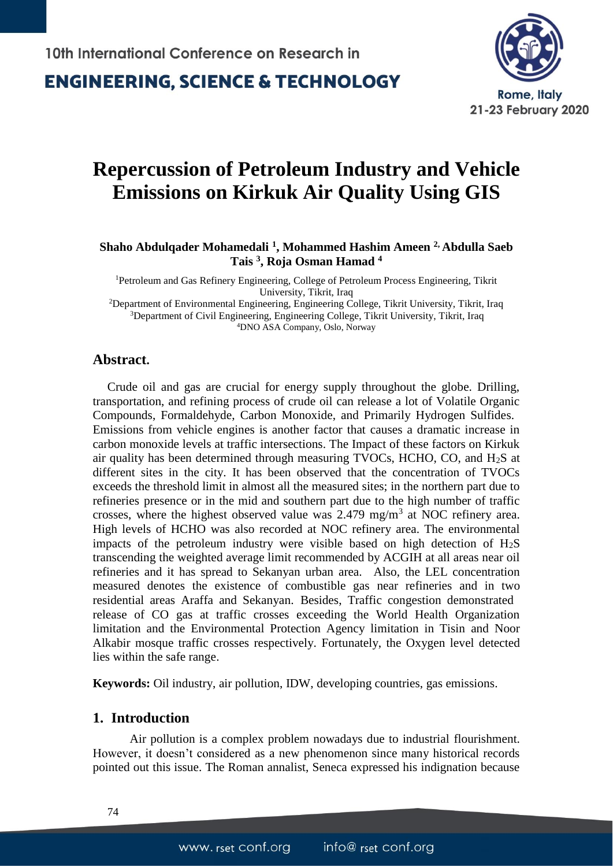### **ENGINEERING, SCIENCE & TECHNOLOGY**



## **Repercussion of Petroleum Industry and Vehicle Emissions on Kirkuk Air Quality Using GIS**

**Shaho Abdulqader Mohamedali <sup>1</sup> , Mohammed Hashim Ameen 2, Abdulla Saeb Tais <sup>3</sup> , Roja Osman Hamad <sup>4</sup>**

<sup>1</sup>Petroleum and Gas Refinery Engineering, College of Petroleum Process Engineering, Tikrit University, Tikrit, Iraq <sup>2</sup>Department of Environmental Engineering, Engineering College, Tikrit University, Tikrit, Iraq <sup>3</sup>Department of Civil Engineering, Engineering College, Tikrit University, Tikrit, Iraq

<sup>4</sup>DNO ASA Company, Oslo, Norway

#### **Abstract.**

Crude oil and gas are crucial for energy supply throughout the globe. Drilling, transportation, and refining process of crude oil can release a lot of Volatile Organic Compounds, Formaldehyde, Carbon Monoxide, and Primarily Hydrogen Sulfides. Emissions from vehicle engines is another factor that causes a dramatic increase in carbon monoxide levels at traffic intersections. The Impact of these factors on Kirkuk air quality has been determined through measuring TVOCs, HCHO, CO, and H2S at different sites in the city. It has been observed that the concentration of TVOCs exceeds the threshold limit in almost all the measured sites; in the northern part due to refineries presence or in the mid and southern part due to the high number of traffic crosses, where the highest observed value was  $2.479$  mg/m<sup>3</sup> at NOC refinery area. High levels of HCHO was also recorded at NOC refinery area. The environmental impacts of the petroleum industry were visible based on high detection of  $H_2S$ transcending the weighted average limit recommended by ACGIH at all areas near oil refineries and it has spread to Sekanyan urban area.Also, the LEL concentration measured denotes the existence of combustible gas near refineries and in two residential areas Araffa and Sekanyan. Besides, Traffic congestion demonstrated release of CO gas at traffic crosses exceeding the World Health Organization limitation and the Environmental Protection Agency limitation in Tisin and Noor Alkabir mosque traffic crosses respectively. Fortunately, the Oxygen level detected lies within the safe range.

**Keywords:** Oil industry, air pollution, IDW, developing countries, gas emissions.

#### **1. Introduction**

Air pollution is a complex problem nowadays due to industrial flourishment. However, it doesn't considered as a new phenomenon since many historical records pointed out this issue. The Roman annalist, Seneca expressed his indignation because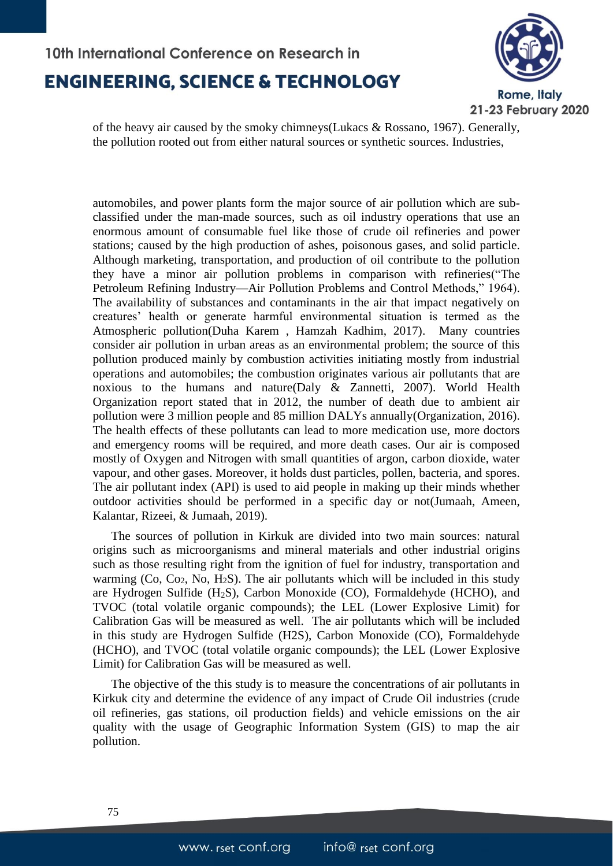

of the heavy air caused by the smoky chimneys(Lukacs & Rossano, 1967). Generally, the pollution rooted out from either natural sources or synthetic sources. Industries,

automobiles, and power plants form the major source of air pollution which are subclassified under the man-made sources, such as oil industry operations that use an enormous amount of consumable fuel like those of crude oil refineries and power stations; caused by the high production of ashes, poisonous gases, and solid particle. Although marketing, transportation, and production of oil contribute to the pollution they have a minor air pollution problems in comparison with refineries("The Petroleum Refining Industry—Air Pollution Problems and Control Methods," 1964). The availability of substances and contaminants in the air that impact negatively on creatures' health or generate harmful environmental situation is termed as the Atmospheric pollution(Duha Karem , Hamzah Kadhim, 2017). Many countries consider air pollution in urban areas as an environmental problem; the source of this pollution produced mainly by combustion activities initiating mostly from industrial operations and automobiles; the combustion originates various air pollutants that are noxious to the humans and nature(Daly & Zannetti, 2007). World Health Organization report stated that in 2012, the number of death due to ambient air pollution were 3 million people and 85 million DALYs annually(Organization, 2016). The health effects of these pollutants can lead to more medication use, more doctors and emergency rooms will be required, and more death cases. Our air is composed mostly of Oxygen and Nitrogen with small quantities of argon, carbon dioxide, water vapour, and other gases. Moreover, it holds dust particles, pollen, bacteria, and spores. The air pollutant index (API) is used to aid people in making up their minds whether outdoor activities should be performed in a specific day or not(Jumaah, Ameen, Kalantar, Rizeei, & Jumaah, 2019).

The sources of pollution in Kirkuk are divided into two main sources: natural origins such as microorganisms and mineral materials and other industrial origins such as those resulting right from the ignition of fuel for industry, transportation and warming  $(Co, Co<sub>2</sub>, No, H<sub>2</sub>S)$ . The air pollutants which will be included in this study are Hydrogen Sulfide (H2S), Carbon Monoxide (CO), Formaldehyde (HCHO), and TVOC (total volatile organic compounds); the LEL (Lower Explosive Limit) for Calibration Gas will be measured as well. The air pollutants which will be included in this study are Hydrogen Sulfide (H2S), Carbon Monoxide (CO), Formaldehyde (HCHO), and TVOC (total volatile organic compounds); the LEL (Lower Explosive Limit) for Calibration Gas will be measured as well.

The objective of the this study is to measure the concentrations of air pollutants in Kirkuk city and determine the evidence of any impact of Crude Oil industries (crude oil refineries, gas stations, oil production fields) and vehicle emissions on the air quality with the usage of Geographic Information System (GIS) to map the air pollution.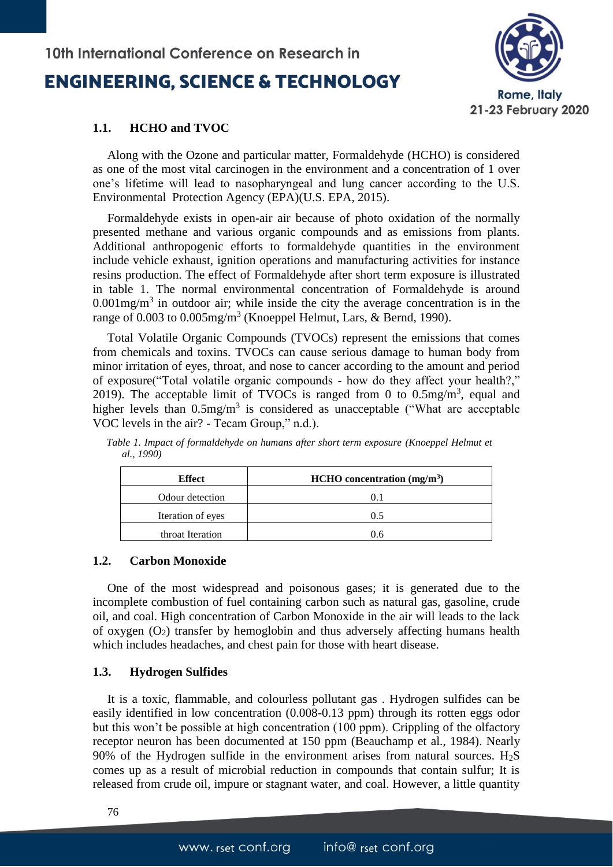

#### **1.1. HCHO and TVOC**

Along with the Ozone and particular matter, Formaldehyde (HCHO) is considered as one of the most vital carcinogen in the environment and a concentration of 1 over one's lifetime will lead to nasopharyngeal and lung cancer according to the U.S. Environmental Protection Agency (EPA)(U.S. EPA, 2015).

Formaldehyde exists in open-air air because of photo oxidation of the normally presented methane and various organic compounds and as emissions from plants. Additional anthropogenic efforts to formaldehyde quantities in the environment include vehicle exhaust, ignition operations and manufacturing activities for instance resins production. The effect of Formaldehyde after short term exposure is illustrated in table 1. The normal environmental concentration of Formaldehyde is around  $0.001$ mg/m<sup>3</sup> in outdoor air; while inside the city the average concentration is in the range of 0.003 to 0.005mg/m<sup>3</sup> (Knoeppel Helmut, Lars, & Bernd, 1990).

Total Volatile Organic Compounds (TVOCs) represent the emissions that comes from chemicals and toxins. TVOCs can cause serious damage to human body from minor irritation of eyes, throat, and nose to cancer according to the amount and period of exposure("Total volatile organic compounds - how do they affect your health?," 2019). The acceptable limit of TVOCs is ranged from 0 to  $0.5 \text{mg/m}^3$ , equal and higher levels than  $0.5 \text{mg/m}^3$  is considered as unacceptable ("What are acceptable VOC levels in the air? - Tecam Group," n.d.).

| Effect            | $HCHO$ concentration (mg/m <sup>3</sup> ) |  |  |
|-------------------|-------------------------------------------|--|--|
| Odour detection   |                                           |  |  |
| Iteration of eyes | 0.5                                       |  |  |
| throat Iteration  | 0.6                                       |  |  |

*Table 1. Impact of formaldehyde on humans after short term exposure (Knoeppel Helmut et al., 1990)*

#### **1.2. Carbon Monoxide**

One of the most widespread and poisonous gases; it is generated due to the incomplete combustion of fuel containing carbon such as natural gas, gasoline, crude oil, and coal. High concentration of Carbon Monoxide in the air will leads to the lack of oxygen  $(O_2)$  transfer by hemoglobin and thus adversely affecting humans health which includes headaches, and chest pain for those with heart disease.

#### **1.3. Hydrogen Sulfides**

It is a toxic, flammable, and colourless pollutant gas . Hydrogen sulfides can be easily identified in low concentration (0.008-0.13 ppm) through its rotten eggs odor but this won't be possible at high concentration (100 ppm). Crippling of the olfactory receptor neuron has been documented at 150 ppm (Beauchamp et al., 1984). Nearly 90% of the Hydrogen sulfide in the environment arises from natural sources.  $H_2S$ comes up as a result of microbial reduction in compounds that contain sulfur; It is released from crude oil, impure or stagnant water, and coal. However, a little quantity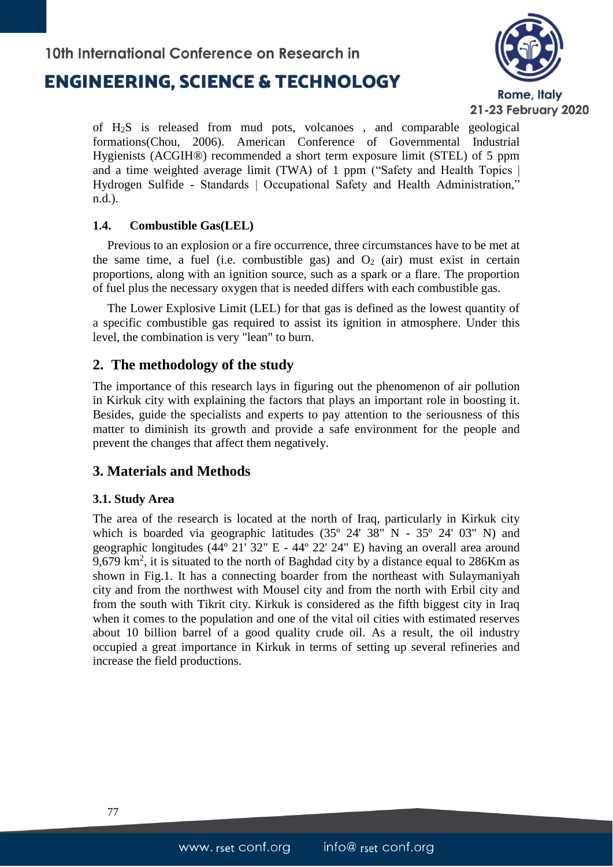

of H2S is released from mud pots, volcanoes , and comparable geological formations(Chou, 2006). American Conference of Governmental Industrial Hygienists (ACGIH®) recommended a short term exposure limit (STEL) of 5 ppm and a time weighted average limit (TWA) of 1 ppm ("Safety and Health Topics | Hydrogen Sulfide - Standards | Occupational Safety and Health Administration," n.d.).

#### **1.4. Combustible Gas(LEL)**

Previous to an explosion or a fire occurrence, three circumstances have to be met at the same time, a fuel (i.e. combustible gas) and  $O_2$  (air) must exist in certain proportions, along with an ignition source, such as a spark or a flare. The proportion of fuel plus the necessary oxygen that is needed differs with each combustible gas.

The Lower Explosive Limit (LEL) for that gas is defined as the lowest quantity of a specific combustible gas required to assist its ignition in atmosphere. Under this level, the combination is very "lean" to burn.

### **2. The methodology of the study**

The importance of this research lays in figuring out the phenomenon of air pollution in Kirkuk city with explaining the factors that plays an important role in boosting it. Besides, guide the specialists and experts to pay attention to the seriousness of this matter to diminish its growth and provide a safe environment for the people and prevent the changes that affect them negatively.

### **3. Materials and Methods**

### **3.1. Study Area**

The area of the research is located at the north of Iraq, particularly in Kirkuk city which is boarded via geographic latitudes (35º 24' 38" N - 35º 24' 03" N) and geographic longitudes (44º 21' 32" E - 44º 22' 24" E) having an overall area around 9,679 km<sup>2</sup>, it is situated to the north of Baghdad city by a distance equal to 286Km as shown in Fig.1. It has a connecting boarder from the northeast with Sulaymaniyah city and from the northwest with Mousel city and from the north with Erbil city and from the south with Tikrit city. Kirkuk is considered as the fifth biggest city in Iraq when it comes to the population and one of the vital oil cities with estimated reserves about 10 billion barrel of a good quality crude oil. As a result, the oil industry occupied a great importance in Kirkuk in terms of setting up several refineries and increase the field productions.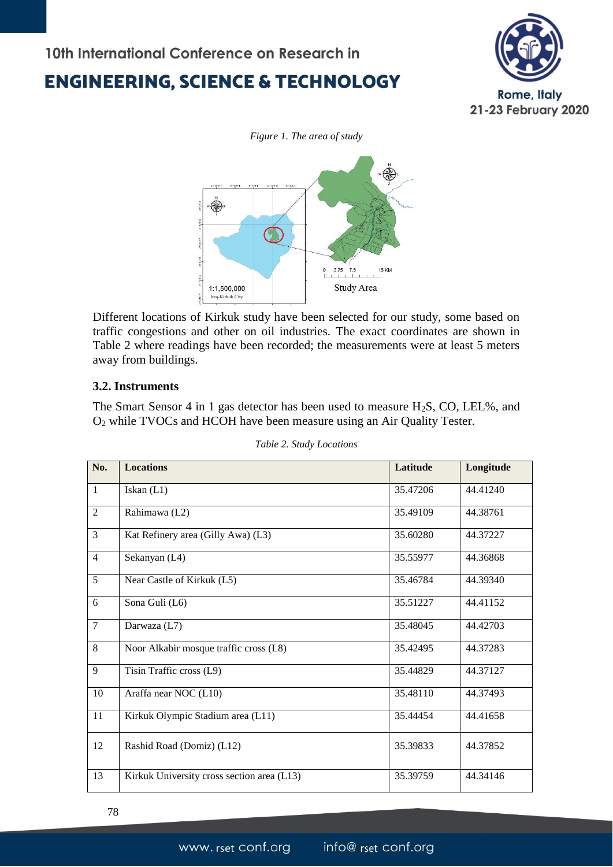



Different locations of Kirkuk study have been selected for our study, some based on traffic congestions and other on oil industries. The exact coordinates are shown in Table 2 where readings have been recorded; the measurements were at least 5 meters away from buildings.

#### **3.2. Instruments**

The Smart Sensor 4 in 1 gas detector has been used to measure  $H_2S$ , CO, LEL%, and O<sup>2</sup> while TVOCs and HCOH have been measure using an Air Quality Tester.

| No.            | <b>Locations</b>                           | Latitude | Longitude |
|----------------|--------------------------------------------|----------|-----------|
| $\mathbf{1}$   | Iskan $(L1)$                               | 35.47206 | 44.41240  |
| $\overline{2}$ | Rahimawa (L2)                              | 35.49109 | 44.38761  |
| 3              | Kat Refinery area (Gilly Awa) (L3)         | 35.60280 | 44.37227  |
| $\overline{4}$ | Sekanyan (L4)                              | 35.55977 | 44.36868  |
| $\overline{5}$ | Near Castle of Kirkuk (L5)                 | 35.46784 | 44.39340  |
| 6              | Sona Guli (L6)                             | 35.51227 | 44.41152  |
| $\tau$         | Darwaza (L7)                               | 35.48045 | 44.42703  |
| 8              | Noor Alkabir mosque traffic cross (L8)     | 35.42495 | 44.37283  |
| 9              | Tisin Traffic cross (L9)                   | 35.44829 | 44.37127  |
| 10             | Araffa near NOC (L10)                      | 35.48110 | 44.37493  |
| 11             | Kirkuk Olympic Stadium area (L11)          | 35.44454 | 44.41658  |
| 12             | Rashid Road (Domiz) (L12)                  | 35.39833 | 44.37852  |
| 13             | Kirkuk University cross section area (L13) | 35.39759 | 44.34146  |

78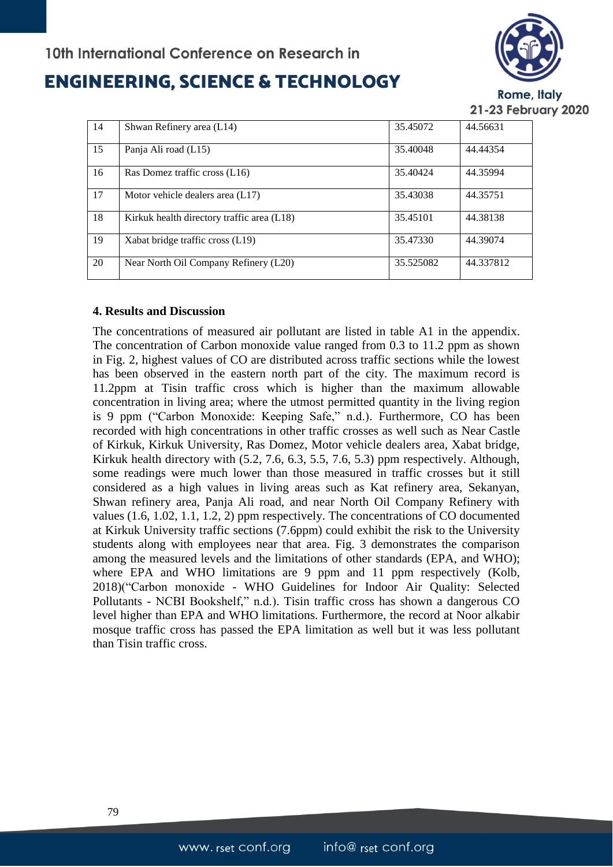### **ENGINEERING, SCIENCE & TECHNOLOGY**



Rome, Italy 21-23 February 2020

| 14 | Shwan Refinery area (L14)                  | 35.45072  | 44.56631  |
|----|--------------------------------------------|-----------|-----------|
| 15 | Panja Ali road (L15)                       | 35.40048  | 44.44354  |
| 16 | Ras Domez traffic cross (L16)              | 35.40424  | 44.35994  |
| 17 | Motor vehicle dealers area (L17)           | 35.43038  | 44.35751  |
| 18 | Kirkuk health directory traffic area (L18) | 35.45101  | 44.38138  |
| 19 | Xabat bridge traffic cross (L19)           | 35.47330  | 44.39074  |
| 20 | Near North Oil Company Refinery (L20)      | 35.525082 | 44.337812 |

#### **4. Results and Discussion**

The concentrations of measured air pollutant are listed in table A1 in the appendix. The concentration of Carbon monoxide value ranged from 0.3 to 11.2 ppm as shown in Fig. 2, highest values of CO are distributed across traffic sections while the lowest has been observed in the eastern north part of the city. The maximum record is 11.2ppm at Tisin traffic cross which is higher than the maximum allowable concentration in living area; where the utmost permitted quantity in the living region is 9 ppm ("Carbon Monoxide: Keeping Safe," n.d.). Furthermore, CO has been recorded with high concentrations in other traffic crosses as well such as Near Castle of Kirkuk, Kirkuk University, Ras Domez, Motor vehicle dealers area, Xabat bridge, Kirkuk health directory with (5.2, 7.6, 6.3, 5.5, 7.6, 5.3) ppm respectively. Although, some readings were much lower than those measured in traffic crosses but it still considered as a high values in living areas such as Kat refinery area, Sekanyan, Shwan refinery area, Panja Ali road, and near North Oil Company Refinery with values (1.6, 1.02, 1.1, 1.2, 2) ppm respectively. The concentrations of CO documented at Kirkuk University traffic sections (7.6ppm) could exhibit the risk to the University students along with employees near that area. Fig. 3 demonstrates the comparison among the measured levels and the limitations of other standards (EPA, and WHO); where EPA and WHO limitations are 9 ppm and 11 ppm respectively (Kolb, 2018)("Carbon monoxide - WHO Guidelines for Indoor Air Quality: Selected Pollutants - NCBI Bookshelf," n.d.). Tisin traffic cross has shown a dangerous CO level higher than EPA and WHO limitations. Furthermore, the record at Noor alkabir mosque traffic cross has passed the EPA limitation as well but it was less pollutant than Tisin traffic cross.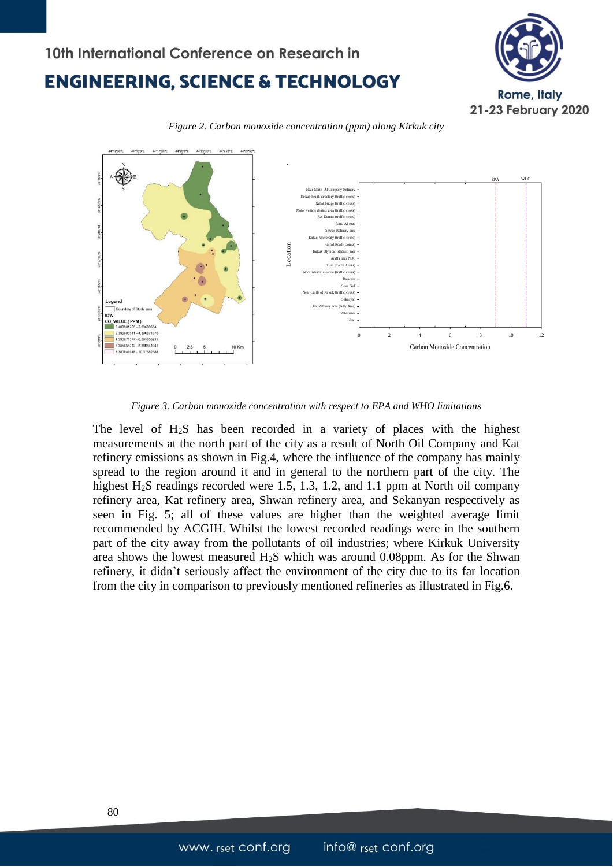





*Figure 3. Carbon monoxide concentration with respect to EPA and WHO limitations*

The level of H2S has been recorded in a variety of places with the highest measurements at the north part of the city as a result of North Oil Company and Kat refinery emissions as shown in Fig.4, where the influence of the company has mainly spread to the region around it and in general to the northern part of the city. The highest H<sub>2</sub>S readings recorded were 1.5, 1.3, 1.2, and 1.1 ppm at North oil company refinery area, Kat refinery area, Shwan refinery area, and Sekanyan respectively as seen in Fig. 5; all of these values are higher than the weighted average limit recommended by ACGIH. Whilst the lowest recorded readings were in the southern part of the city away from the pollutants of oil industries; where Kirkuk University area shows the lowest measured H2S which was around 0.08ppm. As for the Shwan refinery, it didn't seriously affect the environment of the city due to its far location from the city in comparison to previously mentioned refineries as illustrated in Fig.6.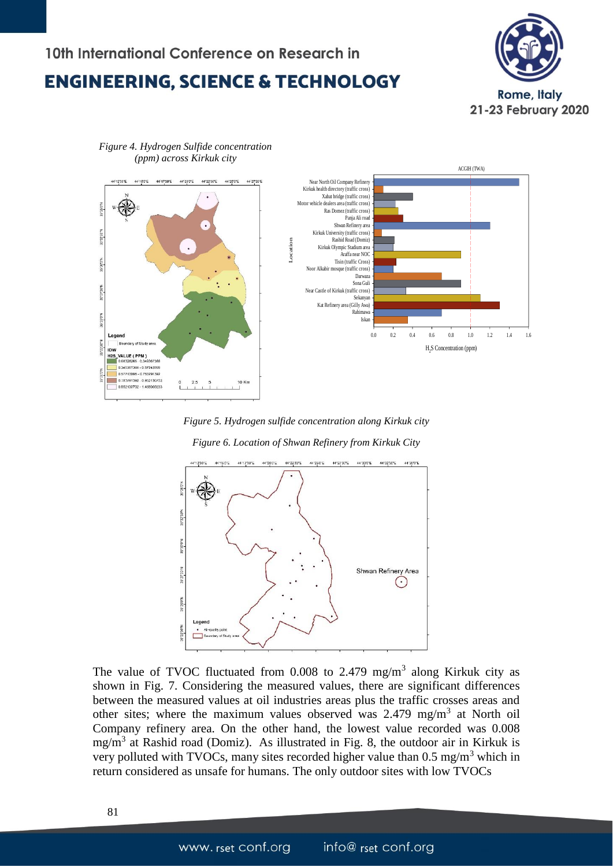



*Figure 4. Hydrogen Sulfide concentration (ppm) across Kirkuk city*





The value of TVOC fluctuated from  $0.008$  to 2.479 mg/m<sup>3</sup> along Kirkuk city as shown in Fig. 7. Considering the measured values, there are significant differences between the measured values at oil industries areas plus the traffic crosses areas and other sites; where the maximum values observed was  $2.479$  mg/m<sup>3</sup> at North oil Company refinery area. On the other hand, the lowest value recorded was 0.008 mg/m<sup>3</sup> at Rashid road (Domiz). As illustrated in Fig. 8, the outdoor air in Kirkuk is very polluted with TVOCs, many sites recorded higher value than  $0.5 \text{ mg/m}^3$  which in return considered as unsafe for humans. The only outdoor sites with low TVOCs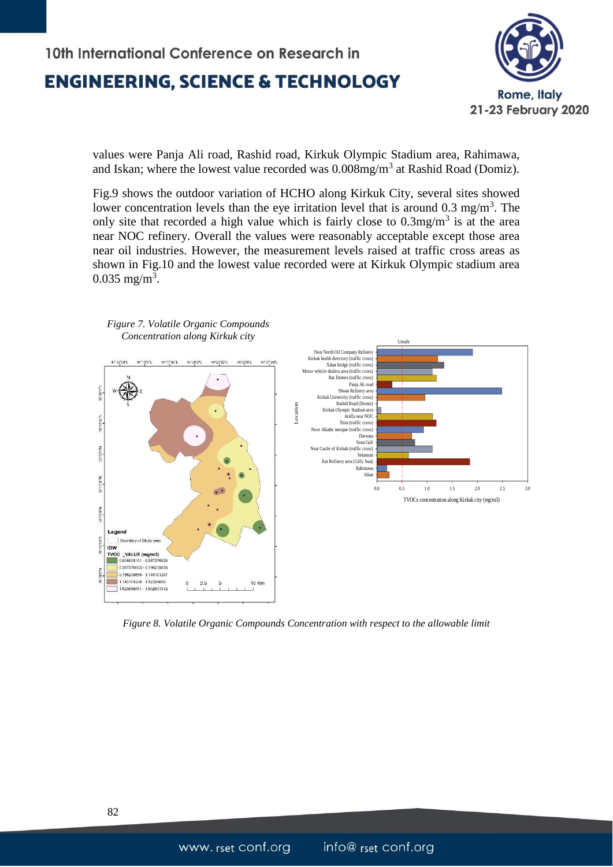

values were Panja Ali road, Rashid road, Kirkuk Olympic Stadium area, Rahimawa, and Iskan; where the lowest value recorded was  $0.008$ mg/m<sup>3</sup> at Rashid Road (Domiz).

Fig.9 shows the outdoor variation of HCHO along Kirkuk City, several sites showed lower concentration levels than the eye irritation level that is around  $0.3 \text{ mg/m}^3$ . The only site that recorded a high value which is fairly close to  $0.3 \text{mg/m}^3$  is at the area near NOC refinery. Overall the values were reasonably acceptable except those area near oil industries. However, the measurement levels raised at traffic cross areas as shown in Fig.10 and the lowest value recorded were at Kirkuk Olympic stadium area  $0.035 \text{ mg/m}^3$ .



*Figure 8. Volatile Organic Compounds Concentration with respect to the allowable limit*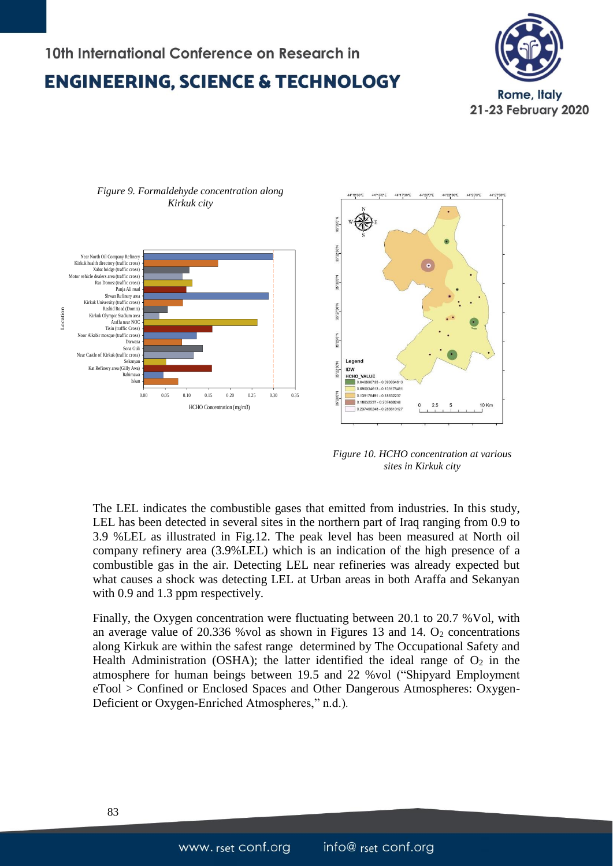



*Figure 10. HCHO concentration at various sites in Kirkuk city*

The LEL indicates the combustible gases that emitted from industries. In this study, LEL has been detected in several sites in the northern part of Iraq ranging from 0.9 to 3.9 %LEL as illustrated in Fig.12. The peak level has been measured at North oil company refinery area (3.9%LEL) which is an indication of the high presence of a combustible gas in the air. Detecting LEL near refineries was already expected but what causes a shock was detecting LEL at Urban areas in both Araffa and Sekanyan with 0.9 and 1.3 ppm respectively.

Finally, the Oxygen concentration were fluctuating between 20.1 to 20.7 %Vol, with an average value of  $20.336$  %vol as shown in Figures 13 and 14.  $O_2$  concentrations along Kirkuk are within the safest range determined by The Occupational Safety and Health Administration (OSHA); the latter identified the ideal range of  $O_2$  in the atmosphere for human beings between 19.5 and 22 %vol ("Shipyard Employment eTool > Confined or Enclosed Spaces and Other Dangerous Atmospheres: Oxygen-Deficient or Oxygen-Enriched Atmospheres," n.d.).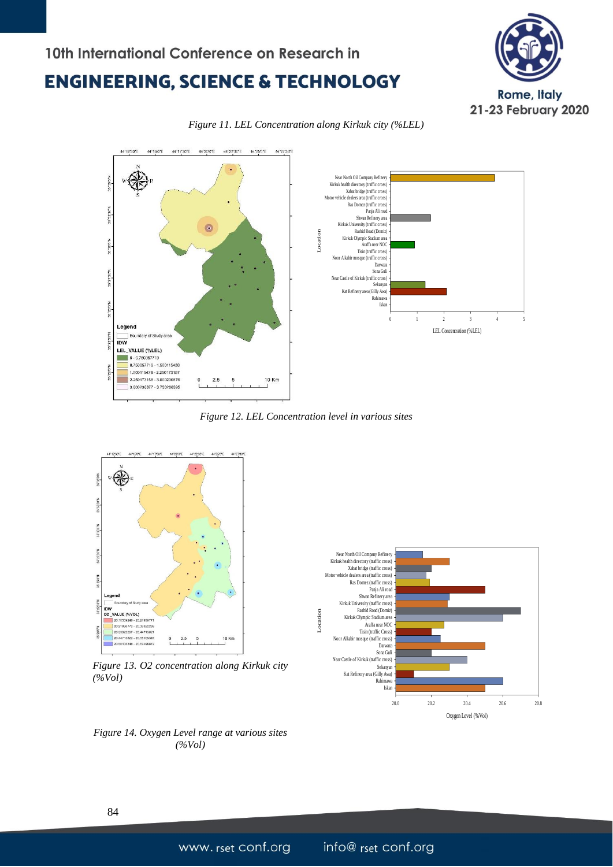





*Figure 12. LEL Concentration level in various sites*



*Figure 13. O2 concentration along Kirkuk city (%Vol)*



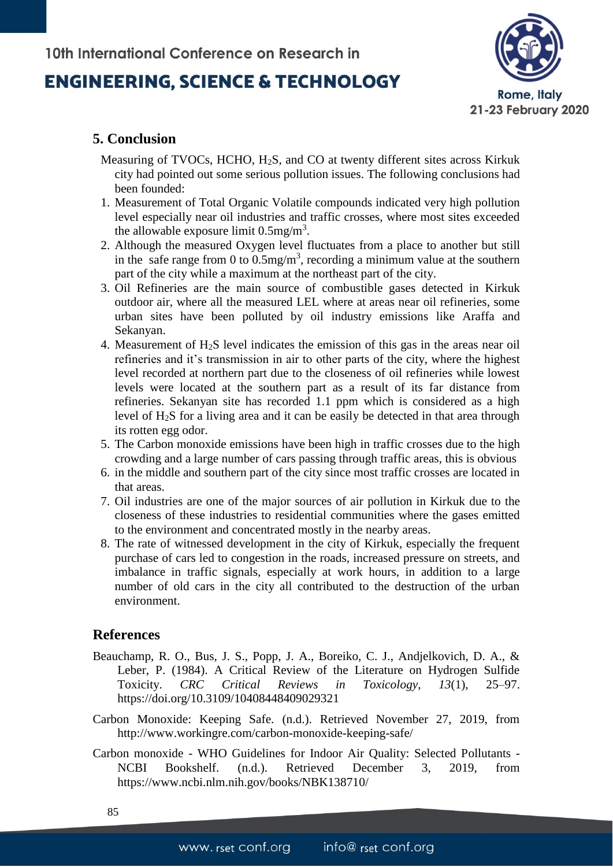### **ENGINEERING, SCIENCE & TECHNOLOGY**



### **5. Conclusion**

- Measuring of TVOCs, HCHO, H2S, and CO at twenty different sites across Kirkuk city had pointed out some serious pollution issues. The following conclusions had been founded:
- 1. Measurement of Total Organic Volatile compounds indicated very high pollution level especially near oil industries and traffic crosses, where most sites exceeded the allowable exposure limit  $0.5 \text{mg/m}^3$ .
- 2. Although the measured Oxygen level fluctuates from a place to another but still in the safe range from 0 to  $0.5 \text{mg/m}^3$ , recording a minimum value at the southern part of the city while a maximum at the northeast part of the city.
- 3. Oil Refineries are the main source of combustible gases detected in Kirkuk outdoor air, where all the measured LEL where at areas near oil refineries, some urban sites have been polluted by oil industry emissions like Araffa and Sekanyan.
- 4. Measurement of H2S level indicates the emission of this gas in the areas near oil refineries and it's transmission in air to other parts of the city, where the highest level recorded at northern part due to the closeness of oil refineries while lowest levels were located at the southern part as a result of its far distance from refineries. Sekanyan site has recorded 1.1 ppm which is considered as a high level of H2S for a living area and it can be easily be detected in that area through its rotten egg odor.
- 5. The Carbon monoxide emissions have been high in traffic crosses due to the high crowding and a large number of cars passing through traffic areas, this is obvious
- 6. in the middle and southern part of the city since most traffic crosses are located in that areas.
- 7. Oil industries are one of the major sources of air pollution in Kirkuk due to the closeness of these industries to residential communities where the gases emitted to the environment and concentrated mostly in the nearby areas.
- 8. The rate of witnessed development in the city of Kirkuk, especially the frequent purchase of cars led to congestion in the roads, increased pressure on streets, and imbalance in traffic signals, especially at work hours, in addition to a large number of old cars in the city all contributed to the destruction of the urban environment.

### **References**

- Beauchamp, R. O., Bus, J. S., Popp, J. A., Boreiko, C. J., Andjelkovich, D. A., & Leber, P. (1984). A Critical Review of the Literature on Hydrogen Sulfide Toxicity. *CRC Critical Reviews in Toxicology*, *13*(1), 25–97. https://doi.org/10.3109/10408448409029321
- Carbon Monoxide: Keeping Safe. (n.d.). Retrieved November 27, 2019, from http://www.workingre.com/carbon-monoxide-keeping-safe/
- Carbon monoxide WHO Guidelines for Indoor Air Quality: Selected Pollutants NCBI Bookshelf. (n.d.). Retrieved December 3, 2019, from https://www.ncbi.nlm.nih.gov/books/NBK138710/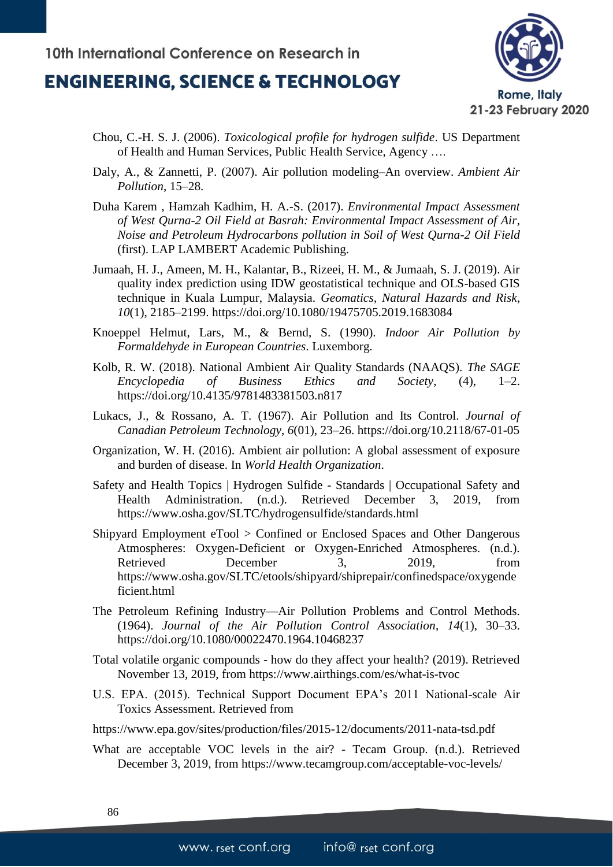

- Chou, C.-H. S. J. (2006). *Toxicological profile for hydrogen sulfide*. US Department of Health and Human Services, Public Health Service, Agency ….
- Daly, A., & Zannetti, P. (2007). Air pollution modeling–An overview. *Ambient Air Pollution*, 15–28.
- Duha Karem , Hamzah Kadhim, H. A.-S. (2017). *Environmental Impact Assessment of West Qurna-2 Oil Field at Basrah: Environmental Impact Assessment of Air, Noise and Petroleum Hydrocarbons pollution in Soil of West Qurna-2 Oil Field* (first). LAP LAMBERT Academic Publishing.
- Jumaah, H. J., Ameen, M. H., Kalantar, B., Rizeei, H. M., & Jumaah, S. J. (2019). Air quality index prediction using IDW geostatistical technique and OLS-based GIS technique in Kuala Lumpur, Malaysia. *Geomatics, Natural Hazards and Risk*, *10*(1), 2185–2199. https://doi.org/10.1080/19475705.2019.1683084
- Knoeppel Helmut, Lars, M., & Bernd, S. (1990). *Indoor Air Pollution by Formaldehyde in European Countries*. Luxemborg.
- Kolb, R. W. (2018). National Ambient Air Quality Standards (NAAQS). *The SAGE Encyclopedia of Business Ethics and Society*, (4), 1–2. https://doi.org/10.4135/9781483381503.n817
- Lukacs, J., & Rossano, A. T. (1967). Air Pollution and Its Control. *Journal of Canadian Petroleum Technology*, *6*(01), 23–26. https://doi.org/10.2118/67-01-05
- Organization, W. H. (2016). Ambient air pollution: A global assessment of exposure and burden of disease. In *World Health Organization*.
- Safety and Health Topics | Hydrogen Sulfide Standards | Occupational Safety and Health Administration. (n.d.). Retrieved December 3, 2019, from https://www.osha.gov/SLTC/hydrogensulfide/standards.html
- Shipyard Employment eTool > Confined or Enclosed Spaces and Other Dangerous Atmospheres: Oxygen-Deficient or Oxygen-Enriched Atmospheres. (n.d.). Retrieved December 3, 2019, from https://www.osha.gov/SLTC/etools/shipyard/shiprepair/confinedspace/oxygende ficient.html
- The Petroleum Refining Industry—Air Pollution Problems and Control Methods. (1964). *Journal of the Air Pollution Control Association*, *14*(1), 30–33. https://doi.org/10.1080/00022470.1964.10468237
- Total volatile organic compounds how do they affect your health? (2019). Retrieved November 13, 2019, from https://www.airthings.com/es/what-is-tvoc
- U.S. EPA. (2015). Technical Support Document EPA's 2011 National-scale Air Toxics Assessment. Retrieved from
- https://www.epa.gov/sites/production/files/2015-12/documents/2011-nata-tsd.pdf
- What are acceptable VOC levels in the air? Tecam Group. (n.d.). Retrieved December 3, 2019, from https://www.tecamgroup.com/acceptable-voc-levels/